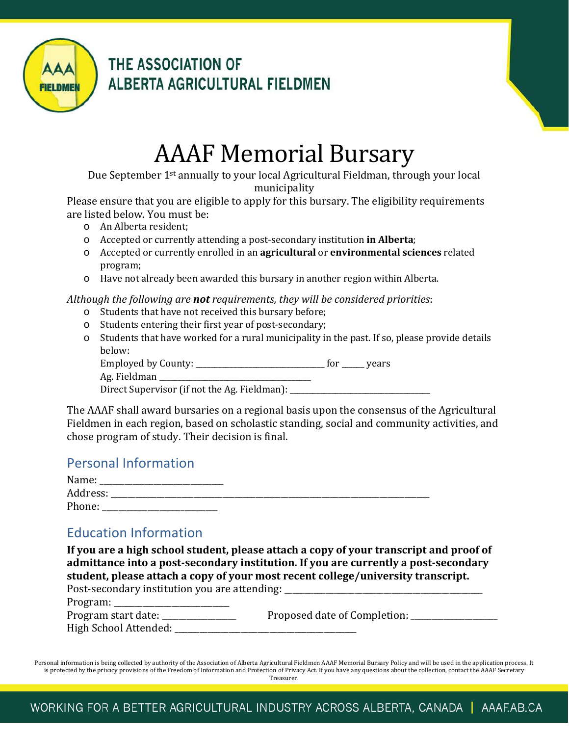

THE ASSOCIATION OF ALBERTA AGRICULTURAL FIELDMEN

# AAAF Memorial Bursary

Due September 1st annually to your local Agricultural Fieldman, through your local municipality

Please ensure that you are eligible to apply for this bursary. The eligibility requirements are listed below. You must be:

- o An Alberta resident;
- o Accepted or currently attending a post-secondary institution **in Alberta**;
- o Accepted or currently enrolled in an **agricultural** or **environmental sciences** related program;
- o Have not already been awarded this bursary in another region within Alberta.

#### *Although the following are not requirements, they will be considered priorities*:

- o Students that have not received this bursary before;
- o Students entering their first year of post-secondary;
- o Students that have worked for a rural municipality in the past. If so, please provide details below:

Employed by County: \_\_\_\_\_\_\_\_\_\_\_\_\_\_\_\_\_\_\_\_\_\_\_\_\_\_\_\_\_\_\_\_\_\_\_ for \_\_\_\_\_\_ years

Ag. Fieldman

Direct Supervisor (if not the Ag. Fieldman): \_\_\_\_\_\_\_\_\_\_\_\_\_\_\_\_\_\_\_\_\_\_\_\_\_\_\_\_\_\_\_\_\_\_\_

The AAAF shall award bursaries on a regional basis upon the consensus of the Agricultural Fieldmen in each region, based on scholastic standing, social and community activities, and chose program of study. Their decision is final.

### Personal Information

| Name:    |  |
|----------|--|
| Address: |  |
| Phone:   |  |

### Education Information

**If you are a high school student, please attach a copy of your transcript and proof of admittance into a post-secondary institution. If you are currently a post-secondary student, please attach a copy of your most recent college/university transcript.**<br>Post-secondary institution you are attending:

| Post-secondary institution you are attending: |                              |
|-----------------------------------------------|------------------------------|
| Program: _                                    |                              |
| Program start date: _                         | Proposed date of Completion: |
| High School Attended: _                       |                              |

Personal information is being collected by authority of the Association of Alberta Agricultural Fieldmen AAAF Memorial Bursary Policy and will be used in the application process. It is protected by the privacy provisions of the Freedom of Information and Protection of Privacy Act. If you have any questions about the collection, contact the AAAF Secretary Treasurer.